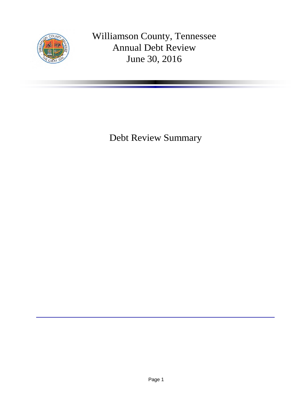

Williamson County, Tennessee Annual Debt Review June 30, 2016

Debt Review Summary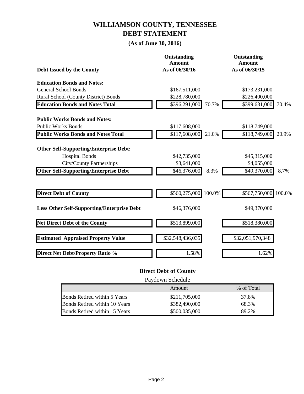## **WILLIAMSON COUNTY, TENNESSEE DEBT STATEMENT**

### **(As of June 30, 2016)**

| Debt Issued by the County                         | Outstanding<br><b>Amount</b><br>As of 06/30/16 |       | Outstanding<br><b>Amount</b><br>As of 06/30/15 |        |
|---------------------------------------------------|------------------------------------------------|-------|------------------------------------------------|--------|
|                                                   |                                                |       |                                                |        |
| <b>Education Bonds and Notes:</b>                 |                                                |       |                                                |        |
| <b>General School Bonds</b>                       | \$167,511,000                                  |       | \$173,231,000                                  |        |
| Rural School (County District) Bonds              | \$228,780,000                                  |       | \$226,400,000                                  |        |
| <b>Education Bonds and Notes Total</b>            | \$396,291,000                                  | 70.7% | \$399,631,000                                  | 70.4%  |
| <b>Public Works Bonds and Notes:</b>              |                                                |       |                                                |        |
| <b>Public Works Bonds</b>                         | \$117,608,000                                  |       | \$118,749,000                                  |        |
| <b>Public Works Bonds and Notes Total</b>         | \$117,608,000                                  | 21.0% | \$118,749,000                                  | 20.9%  |
| <b>Other Self-Supporting/Enterprise Debt:</b>     |                                                |       |                                                |        |
| <b>Hospital Bonds</b>                             | \$42,735,000                                   |       | \$45,315,000                                   |        |
| <b>City/County Partnerships</b>                   | \$3,641,000                                    |       | \$4,055,000                                    |        |
| <b>Other Self-Supporting/Enterprise Debt</b>      | \$46,376,000                                   | 8.3%  | \$49,370,000                                   | 8.7%   |
|                                                   |                                                |       |                                                |        |
| <b>Direct Debt of County</b>                      | \$560,275,000 100.0%                           |       | \$567,750,000                                  | 100.0% |
| <b>Less Other Self-Supporting/Enterprise Debt</b> | \$46,376,000                                   |       | \$49,370,000                                   |        |
| <b>Net Direct Debt of the County</b>              | \$513,899,000                                  |       | \$518,380,000                                  |        |
| <b>Estimated Appraised Property Value</b>         | \$32,548,436,035                               |       | \$32,051,970,348                               |        |
| <b>Direct Net Debt/Property Ratio %</b>           | 1.58%                                          |       | 1.62%                                          |        |

### **Direct Debt of County**

Paydown Schedule

|                               | Amount        | % of Total |
|-------------------------------|---------------|------------|
| Bonds Retired within 5 Years  | \$211,705,000 | 37.8%      |
| Bonds Retired within 10 Years | \$382,490,000 | i8 3%      |
| Bonds Retired within 15 Years | \$500,035,000 |            |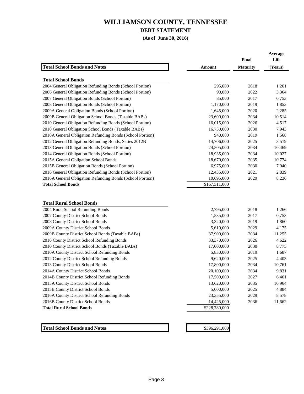#### **DEBT STATEMENT**

**(As of June 30, 2016)**

**Average**

|                                                           |               | Final           | Life    |
|-----------------------------------------------------------|---------------|-----------------|---------|
| <b>Total School Bonds and Notes</b>                       | <b>Amount</b> | <b>Maturity</b> | (Years) |
| <b>Total School Bonds</b>                                 |               |                 |         |
| 2004 General Obligation Refunding Bonds (School Portion)  | 295,000       | 2018            | 1.261   |
| 2006 General Obligation Refunding Bonds (School Portion)  | 90,000        | 2022            | 3.364   |
| 2007 General Obligation Bonds (School Portion)            | 85,000        | 2017            | 0.753   |
| 2008 General Obligation Bonds (School Portion)            | 1,170,000     | 2019            | 1.853   |
| 2009A General Obligation Bonds (School Portion)           | 1,645,000     | 2020            | 2.285   |
| 2009B General Obligation School Bonds (Taxable BABs)      | 23,600,000    | 2034            | 10.514  |
| 2010 General Obligation Refunding Bonds (School Portion)  | 16,015,000    | 2026            | 4.517   |
| 2010 General Obligation School Bonds (Taxable BABs)       | 16,750,000    | 2030            | 7.943   |
| 2010A General Obligation Refunding Bonds (School Portion) | 940,000       | 2019            | 1.568   |
| 2012 General Obligation Refunding Bonds, Series 2012B     | 14,706,000    | 2025            | 3.519   |
| 2013 General Obligation Bonds (School Portion)            | 24,505,000    | 2034            | 10.469  |
| 2014 General Obligation Bonds (School Portion)            | 18,935,000    | 2034            | 10.027  |
| 2015A General Obligation School Bonds                     | 18,670,000    | 2035            | 10.774  |
| 2015B General Obligation Bonds (School Portion)           | 6,975,000     | 2030            | 7.940   |
| 2016 General Obligation Refunding Bonds (School Portion)  | 12,435,000    | 2021            | 2.839   |
| 2016A General Obligation Refunding Bonds (School Portion) | 10,695,000    | 2029            | 8.236   |
| <b>Total School Bonds</b>                                 | \$167,511,000 |                 |         |
|                                                           |               |                 |         |
|                                                           |               |                 |         |
| <b>Total Rural School Bonds</b>                           |               |                 |         |
| 2004 Rural School Refunding Bonds                         | 2,795,000     | 2018            | 1.266   |
| 2007 County District School Bonds                         | 1,535,000     | 2017            | 0.753   |
| 2008 County District School Bonds                         | 3,320,000     | 2019            | 1.860   |
| 2009A County District School Bonds                        | 5,610,000     | 2029            | 4.175   |
| 2009B County District School Bonds (Taxable BABs)         | 37,900,000    | 2034            | 11.255  |
| 2010 County District School Refunding Bonds               | 33,370,000    | 2026            | 4.622   |
| 2010 County District School Bonds (Taxable BABs)          | 17,000,000    | 2030            | 8.775   |
| 2010A County District School Refunding Bonds              | 5,830,000     | 2019            | 1.687   |
| 2012 County District School Refunding Bonds               | 9,620,000     | 2025            | 4.403   |
| 2013 County District School Bonds                         | 17,800,000    | 2034            | 10.761  |
| 2014A County District School Bonds                        | 20,100,000    | 2034            | 9.831   |
| 2014B County District School Refunding Bonds              | 17,500,000    | 2027            | 6.461   |
| 2015A County District School Bonds                        | 13,620,000    | 2035            | 10.964  |
| 2015B County District School Bonds                        | 5,000,000     | 2025            | 4.884   |
| 2016A County District School Refunding Bonds              | 23,355,000    | 2029            | 8.578   |
| 2016B County District School Bonds                        | 14,425,000    | 2036            | 11.662  |
| <b>Total Rural School Bonds</b>                           | \$228,780,000 |                 |         |
|                                                           |               |                 |         |
|                                                           |               |                 |         |
| <b>Total School Bonds and Notes</b>                       | \$396,291,000 |                 |         |
|                                                           |               |                 |         |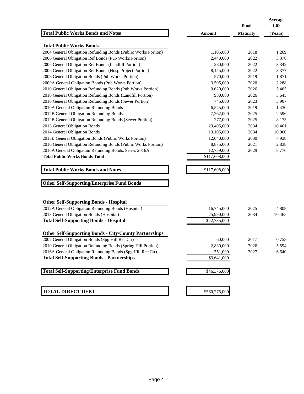|                                                                |               | Final           | Average<br>Life |
|----------------------------------------------------------------|---------------|-----------------|-----------------|
| <b>Total Public Works Bonds and Notes</b>                      | Amount        | <b>Maturity</b> | (Years)         |
| <b>Total Public Works Bonds</b>                                |               |                 |                 |
| 2004 General Obligation Refunding Bonds (Public Works Portion) | 1,105,000     | 2018            | 1.269           |
| 2006 General Obligation Ref Bonds (Pub Works Portion)          | 2,440,000     | 2022            | 3.378           |
| 2006 General Obligation Ref Bonds (Landfill Portion)           | 280,000       | 2022            | 3.342           |
| 2006 General Obligation Ref Bonds (Hosp Project Portion)       | 8,145,000     | 2022            | 3.377           |
| 2008 General Obligation Bonds (Pub Works Portion)              | 570,000       | 2019            | 1.871           |
| 2009A General Obligation Bonds (Pub Works Portion)             | 3,505,000     | 2020            | 2.288           |
| 2010 General Obligation Refunding Bonds (Pub Works Portion)    | 9,620,000     | 2026            | 5.465           |
| 2010 General Obligation Refunding Bonds (Landfill Portion)     | 930,000       | 2026            | 5.645           |
| 2010 General Obligation Refunding Bonds (Sewer Portion)        | 745,000       | 2023            | 3.907           |
| 2010A General Obligation Refunding Bonds                       | 6,545,000     | 2019            | 1.430           |
| 2012B General Obligation Refunding Bonds                       | 7,262,000     | 2025            | 2.596           |
| 2012B General Obligation Refunding Bonds (Sewer Portion)       | 277,000       | 2025            | 8.175           |
| 2013 General Obligation Bonds                                  | 29,405,000    | 2034            | 10.461          |
| 2014 General Obligation Bonds                                  | 13,105,000    | 2034            | 10.060          |
| 2015B General Obligation Bonds (Public Works Portion)          | 12,040,000    | 2030            | 7.938           |
| 2016 General Obligation Refunding Bonds (Public Works Portion) | 8,875,000     | 2021            | 2.838           |
| 2016A General Obligation Refunding Bonds, Series 2016A         | 12,759,000    | 2029            | 8.776           |
| <b>Total Public Works Bonds Total</b>                          | \$117,608,000 |                 |                 |
| <b>Total Public Works Bonds and Notes</b>                      | \$117,608,000 |                 |                 |
|                                                                |               |                 |                 |
| <b>Other Self-Supporting/Enterprise Fund Bonds</b>             |               |                 |                 |
|                                                                |               |                 |                 |
| <b>Other Self-Supporting Bonds - Hospital</b>                  |               |                 |                 |
| 2012A General Obligation Refunding Bonds (Hospital)            | 16,745,000    | 2025            | 4.808           |
| 2013 General Obligation Bonds (Hospital)                       | 25,990,000    | 2034            | 10.465          |
| <b>Total Self-Supporting Bonds - Hospital</b>                  | \$42,735,000  |                 |                 |
| <b>Other Self-Supporting Bonds - City/County Partnerships</b>  |               |                 |                 |
| 2007 General Obligation Bonds (Spg Hill Rec Ctr)               | 60,000        | 2017            | 0.753           |
| 2010 General Obligation Refunding Bonds (Spring Hill Portion)  | 2,830,000     | 2026            | 5.594           |
| 2016A General Obligation Refunding Bonds (Spg Hill Rec Ctr)    | 751,000       | 2027            | 6.640           |
| <b>Total Self-Supporting Bonds - Partnerships</b>              | \$3,641,000   |                 |                 |
| <b>Total Self-Supporting/Enterprise Fund Bonds</b>             | \$46,376,000  |                 |                 |
|                                                                |               |                 |                 |
| <b>TOTAL DIRECT DEBT</b>                                       | \$560,275,000 |                 |                 |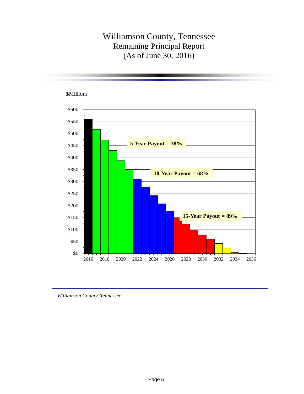# Williamson County, Tennessee Remaining Principal Report (As of June 30, 2016)



*Williamson County, Tennessee*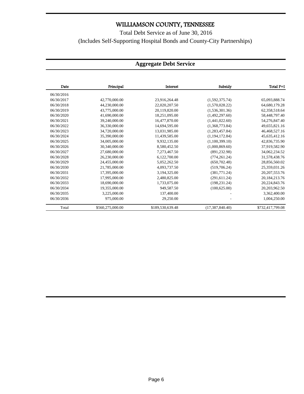## Total Debt Service as of June 30, 2016 (Includes Self-Supporting Hospital Bonds and County-City Partnerships)

### **Aggregate Debt Service**

| Date       | Principal        | Interest         | Subsidy           | Total P+I        |
|------------|------------------|------------------|-------------------|------------------|
| 06/30/2016 |                  |                  |                   |                  |
| 06/30/2017 | 42,770,000.00    | 23,916,264.48    | (1,592,375.74)    | 65,093,888.74    |
| 06/30/2018 | 44,230,000.00    | 22,020,207.50    | (1,570,028.22)    | 64,680,179.28    |
| 06/30/2019 | 43,775,000.00    | 20,119,820.00    | (1,536,301.36)    | 62,358,518.64    |
| 06/30/2020 | 41,690,000.00    | 18,251,095.00    | (1,492,297.60)    | 58,448,797.40    |
| 06/30/2021 | 39,240,000.00    | 16,477,870.00    | (1,441,022.60)    | 54,276,847.40    |
| 06/30/2022 | 36,330,000.00    | 14,694,595.00    | (1,368,773.84)    | 49,655,821.16    |
| 06/30/2023 | 34,720,000.00    | 13,031,985.00    | (1, 283, 457.84)  | 46,468,527.16    |
| 06/30/2024 | 35,390,000.00    | 11,439,585.00    | (1, 194, 172.84)  | 45,635,412.16    |
| 06/30/2025 | 34,005,000.00    | 9,932,135.00     | (1,100,399.10)    | 42,836,735.90    |
| 06/30/2026 | 30,340,000.00    | 8,580,452.50     | (1,000,869.60)    | 37,919,582.90    |
| 06/30/2027 | 27,680,000.00    | 7,273,467.50     | (891, 232.98)     | 34,062,234.52    |
| 06/30/2028 | 26,230,000.00    | 6,122,700.00     | (774, 261.24)     | 31,578,438.76    |
| 06/30/2029 | 24,455,000.00    | 5,052,262.50     | (650, 702.48)     | 28,856,560.02    |
| 06/30/2030 | 21,785,000.00    | 4,093,737.50     | (519,706.24)      | 25,359,031.26    |
| 06/30/2031 | 17,395,000.00    | 3,194,325.00     | (381,771.24)      | 20, 207, 553. 76 |
| 06/30/2032 | 17,995,000.00    | 2,480,825.00     | (291, 611.24)     | 20, 184, 213. 76 |
| 06/30/2033 | 18,690,000.00    | 1,733,075.00     | (198, 231.24)     | 20,224,843.76    |
| 06/30/2034 | 19,355,000.00    | 949,587.50       | (100, 625.00)     | 20,203,962.50    |
| 06/30/2035 | 3,225,000.00     | 137,400.00       |                   | 3,362,400.00     |
| 06/30/2036 | 975,000.00       | 29,250.00        |                   | 1,004,250.00     |
| Total      | \$560,275,000.00 | \$189,530,639.48 | (17, 387, 840.40) | \$732,417,799.08 |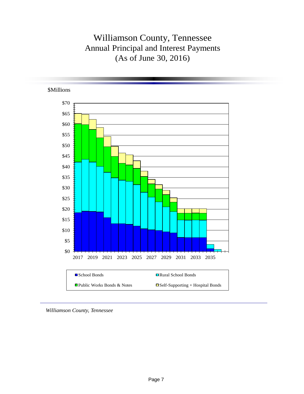# Williamson County, Tennessee Annual Principal and Interest Payments (As of June 30, 2016)



*Williamson County, Tennessee*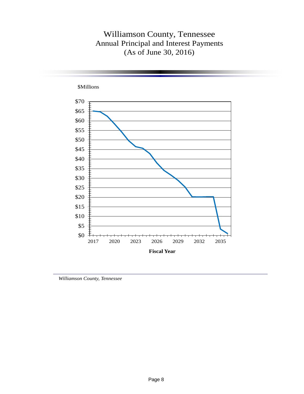# Williamson County, Tennessee Annual Principal and Interest Payments (As of June 30, 2016)



*Williamson County, Tennessee*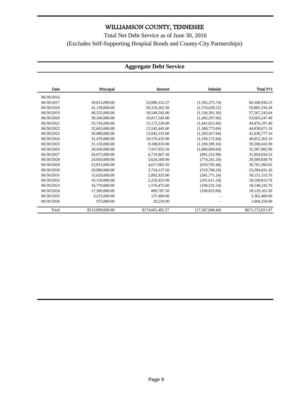Total Net Debt Service as of June 30, 2016 (Excludes Self-Supporting Hospital Bonds and County-City Partnerships)

#### **Aggregate Debt Service**

| Date       | Principal        | Interest         | Subsidy           | Total P+I        |
|------------|------------------|------------------|-------------------|------------------|
| 06/30/2016 |                  |                  |                   |                  |
| 06/30/2017 | 39,815,000.00    | 22,086,312.27    | (1,592,375.74)    | 60,308,936.53    |
| 06/30/2018 | 41,139,000.00    | 20,316,362.50    | (1,570,028.22)    | 59,885,334.28    |
| 06/30/2019 | 40,555,000.00    | 18,548,545.00    | (1,536,301.36)    | 57, 567, 243. 64 |
| 06/30/2020 | 38,340,000.00    | 16,817,545.00    | (1,492,297.60)    | 53,665,247.40    |
| 06/30/2021 | 35,745,000.00    | 15, 172, 220.00  | (1,441,022.60)    | 49,476,197.40    |
| 06/30/2022 | 32,665,000.00    | 13,542,445.00    | (1,368,773.84)    | 44,838,671.16    |
| 06/30/2023 | 30,880,000.00    | 12,042,235.00    | (1,283,457.84)    | 41,638,777.16    |
| 06/30/2024 | 31,470,000.00    | 10,576,435.00    | (1, 194, 172.84)  | 40,852,262.16    |
| 06/30/2025 | 31.120.000.00    | 9.188.810.00     | (1.100.399.10)    | 39,208,410.90    |
| 06/30/2026 | 28,450,000.00    | 7,937,952.50     | (1,000,869.60)    | 35,387,082.90    |
| 06/30/2027 | 26,075,000.00    | 6,710,867.50     | (891, 232.98)     | 31,894,634.52    |
| 06/30/2028 | 24,650,000.00    | 5,624,300.00     | (774, 261.24)     | 29,500,038.76    |
| 06/30/2029 | 22,815,000.00    | 4.617.062.50     | (650.702.48)      | 26,781,360.02    |
| 06/30/2030 | 20,080,000.00    | 3,724,137.50     | (519,706.24)      | 23,284,431.26    |
| 06/30/2031 | 15,620,000.00    | 2,892,925.00     | (381,771.24)      | 18, 131, 153. 76 |
| 06/30/2032 | 16,150,000.00    | 2,250,425.00     | (291, 611.24)     | 18,108,813.76    |
| 06/30/2033 | 16,770,000.00    | 1,576,475.00     | (198, 231, 24)    | 18, 148, 243. 76 |
| 06/30/2034 | 17,360,000.00    | 869,787.50       | (100, 625.00)     | 18,129,162.50    |
| 06/30/2035 | 3,225,000.00     | 137,400.00       |                   | 3,362,400.00     |
| 06/30/2036 | 975,000.00       | 29,250.00        |                   | 1,004,250.00     |
| Total      | \$513,899,000.00 | \$174,661,492.27 | (17, 387, 840.40) | \$671,172,651.87 |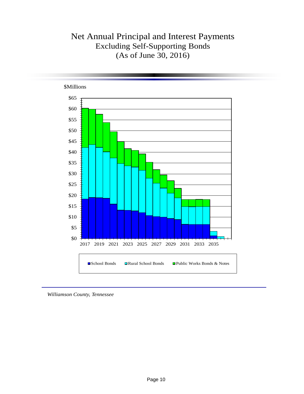# Net Annual Principal and Interest Payments Excluding Self-Supporting Bonds (As of June 30, 2016)



*Williamson County, Tennessee*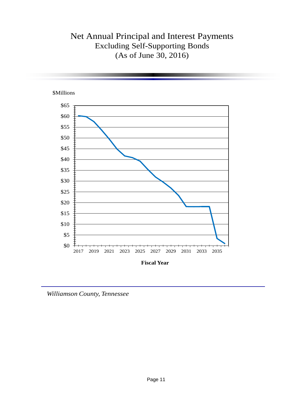# Net Annual Principal and Interest Payments Excluding Self-Supporting Bonds (As of June 30, 2016)



*Williamson County, Tennessee*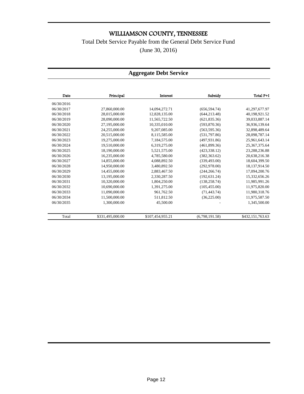Total Debt Service Payable from the General Debt Service Fund

(June 30, 2016)

#### **Aggregate Debt Service**

| Date       | Principal        | Interest         | Subsidy        | Total P+I        |
|------------|------------------|------------------|----------------|------------------|
| 06/30/2016 |                  |                  |                |                  |
| 06/30/2017 | 27,860,000.00    | 14,094,272.71    | (656, 594.74)  | 41,297,677.97    |
| 06/30/2018 | 28,015,000.00    | 12,828,135.00    | (644, 213.48)  | 40,198,921.52    |
| 06/30/2019 | 28,090,000.00    | 11,565,722.50    | (621, 835, 36) | 39,033,887.14    |
| 06/30/2020 | 27,195,000.00    | 10,335,010.00    | (593,870.36)   | 36,936,139.64    |
| 06/30/2021 | 24,255,000.00    | 9,207,085.00     | (563, 595, 36) | 32,898,489.64    |
| 06/30/2022 | 20,515,000.00    | 8,115,585.00     | (531,797.86)   | 28,098,787.14    |
| 06/30/2023 | 19,275,000.00    | 7,184,575.00     | (497.931.86)   | 25,961,643.14    |
| 06/30/2024 | 19,510,000.00    | 6,319,275.00     | (461,899.36)   | 25, 367, 375.64  |
| 06/30/2025 | 18,190,000.00    | 5,521,575.00     | (423, 338, 12) | 23,288,236.88    |
| 06/30/2026 | 16,235,000.00    | 4,785,580.00     | (382, 363.62)  | 20,638,216.38    |
| 06/30/2027 | 14,855,000.00    | 4,088,892.50     | (339, 493.00)  | 18,604,399.50    |
| 06/30/2028 | 14,950,000.00    | 3.480.892.50     | (292, 978.00)  | 18,137,914.50    |
| 06/30/2029 | 14,455,000.00    | 2,883,467.50     | (244.266.74)   | 17,094,200.76    |
| 06/30/2030 | 13,195,000.00    | 2,330,287.50     | (192, 631.24)  | 15,332,656.26    |
| 06/30/2031 | 10,320,000.00    | 1,804,250.00     | (138, 258, 74) | 11,985,991.26    |
| 06/30/2032 | 10,690,000.00    | 1,391,275.00     | (105, 455.00)  | 11,975,820.00    |
| 06/30/2033 | 11,090,000.00    | 961.762.50       | (71, 443.74)   | 11,980,318.76    |
| 06/30/2034 | 11,500,000.00    | 511,812.50       | (36, 225.00)   | 11,975,587.50    |
| 06/30/2035 | 1,300,000.00     | 45,500.00        |                | 1,345,500.00     |
| Total      | \$331,495,000.00 | \$107,454,955.21 | (6,798,191.58) | \$432,151,763.63 |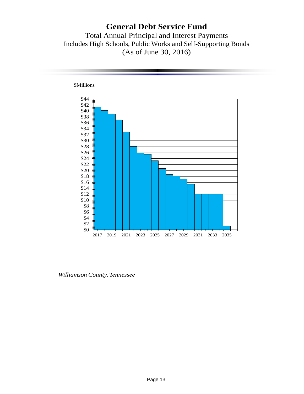# **General Debt Service Fund**

Total Annual Principal and Interest Payments Includes High Schools, Public Works and Self-Supporting Bonds (As of June 30, 2016)



*Williamson County, Tennessee*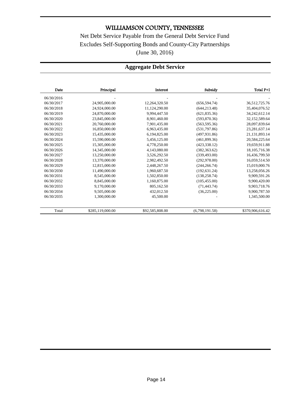Net Debt Service Payable from the General Debt Service Fund Excludes Self-Supporting Bonds and County-City Partnerships (June 30, 2016)

### **Aggregate Debt Service**

| Date       | Principal        | Interest        | Subsidy        | Total P+I        |
|------------|------------------|-----------------|----------------|------------------|
| 06/30/2016 |                  |                 |                |                  |
| 06/30/2017 | 24,905,000.00    | 12,264,320.50   | (656.594.74)   | 36,512,725.76    |
| 06/30/2018 | 24,924,000.00    | 11,124,290.00   | (644, 213.48)  | 35,404,076.52    |
| 06/30/2019 | 24,870,000.00    | 9,994,447.50    | (621, 835, 36) | 34,242,612.14    |
| 06/30/2020 | 23.845.000.00    | 8,901,460.00    | (593, 870.36)  | 32,152,589.64    |
| 06/30/2021 | 20,760,000.00    | 7,901,435.00    | (563, 595.36)  | 28,097,839.64    |
| 06/30/2022 | 16,850,000.00    | 6,963,435.00    | (531,797.86)   | 23,281,637.14    |
| 06/30/2023 | 15,435,000.00    | 6,194,825.00    | (497, 931.86)  | 21, 131, 893. 14 |
| 06/30/2024 | 15,590,000.00    | 5,456,125.00    | (461, 899, 36) | 20,584,225.64    |
| 06/30/2025 | 15,305,000.00    | 4,778,250.00    | (423, 338.12)  | 19,659,911.88    |
| 06/30/2026 | 14,345,000.00    | 4,143,080.00    | (382, 363.62)  | 18, 105, 716. 38 |
| 06/30/2027 | 13,250,000.00    | 3,526,292.50    | (339, 493.00)  | 16,436,799.50    |
| 06/30/2028 | 13,370,000.00    | 2,982,492.50    | (292, 978, 00) | 16,059,514.50    |
| 06/30/2029 | 12,815,000.00    | 2.448.267.50    | (244, 266.74)  | 15,019,000.76    |
| 06/30/2030 | 11,490,000.00    | 1,960,687.50    | (192, 631.24)  | 13,258,056.26    |
| 06/30/2031 | 8,545,000.00     | 1,502,850.00    | (138, 258.74)  | 9,909,591.26     |
| 06/30/2032 | 8,845,000.00     | 1,160,875.00    | (105, 455.00)  | 9,900,420.00     |
| 06/30/2033 | 9.170.000.00     | 805.162.50      | (71, 443.74)   | 9,903,718.76     |
| 06/30/2034 | 9,505,000.00     | 432,012.50      | (36, 225.00)   | 9,900,787.50     |
| 06/30/2035 | 1,300,000.00     | 45,500.00       |                | 1,345,500.00     |
| Total      | \$285,119,000.00 | \$92,585,808.00 | (6,798,191.58) | \$370,906,616.42 |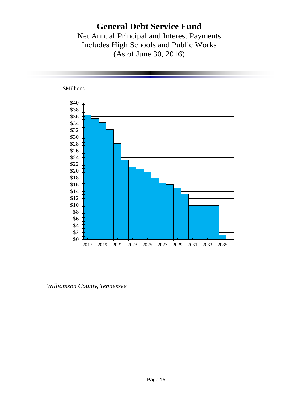# **General Debt Service Fund**

Net Annual Principal and Interest Payments Includes High Schools and Public Works (As of June 30, 2016)



*Williamson County, Tennessee*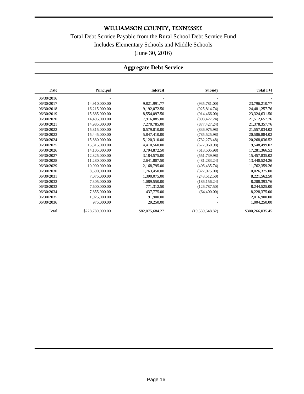Total Debt Service Payable from the Rural School Debt Service Fund Includes Elementary Schools and Middle Schools (June 30, 2016)

### **Aggregate Debt Service**

| Date       | Principal        | Interest        | Subsidy         | Total P+I        |
|------------|------------------|-----------------|-----------------|------------------|
| 06/30/2016 |                  |                 |                 |                  |
| 06/30/2017 | 14,910,000.00    | 9,821,991.77    | (935, 781.00)   | 23,796,210.77    |
| 06/30/2018 | 16,215,000.00    | 9,192,072.50    | (925, 814.74)   | 24, 481, 257. 76 |
| 06/30/2019 | 15,685,000.00    | 8,554,097.50    | (914, 466.00)   | 23,324,631.50    |
| 06/30/2020 | 14.495.000.00    | 7,916,085.00    | (898, 427.24)   | 21,512,657.76    |
| 06/30/2021 | 14.985.000.00    | 7.270.785.00    | (877, 427, 24)  | 21,378,357.76    |
| 06/30/2022 | 15,815,000.00    | 6,579,010.00    | (836, 975.98)   | 21,557,034.02    |
| 06/30/2023 | 15,445,000.00    | 5,847,410.00    | (785, 525.98)   | 20,506,884.02    |
| 06/30/2024 | 15,880,000.00    | 5,120,310.00    | (732, 273.48)   | 20,268,036.52    |
| 06/30/2025 | 15,815,000.00    | 4,410,560.00    | (677,060.98)    | 19,548,499.02    |
| 06/30/2026 | 14,105,000.00    | 3.794.872.50    | (618, 505.98)   | 17,281,366.52    |
| 06/30/2027 | 12,825,000.00    | 3,184,575.00    | (551, 739.98)   | 15,457,835.02    |
| 06/30/2028 | 11,280,000.00    | 2,641,807.50    | (481, 283, 24)  | 13,440,524.26    |
| 06/30/2029 | 10,000,000.00    | 2,168,795.00    | (406, 435, 74)  | 11,762,359.26    |
| 06/30/2030 | 8,590,000.00     | 1,763,450.00    | (327,075.00)    | 10,026,375.00    |
| 06/30/2031 | 7,075,000.00     | 1,390,075.00    | (243, 512.50)   | 8,221,562.50     |
| 06/30/2032 | 7,305,000.00     | 1,089,550.00    | (186, 156.24)   | 8,208,393.76     |
| 06/30/2033 | 7,600,000.00     | 771,312.50      | (126, 787.50)   | 8,244,525.00     |
| 06/30/2034 | 7,855,000.00     | 437,775.00      | (64,400.00)     | 8,228,375.00     |
| 06/30/2035 | 1,925,000.00     | 91,900.00       |                 | 2,016,900.00     |
| 06/30/2036 | 975,000.00       | 29,250.00       |                 | 1,004,250.00     |
| Total      | \$228,780,000.00 | \$82,075,684.27 | (10,589,648.82) | \$300,266,035.45 |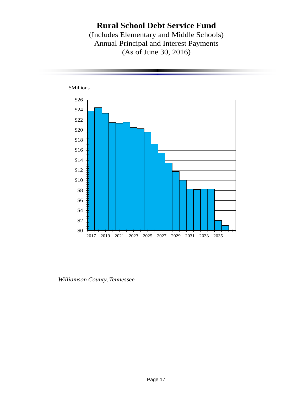## **Rural School Debt Service Fund**

(Includes Elementary and Middle Schools) Annual Principal and Interest Payments (As of June 30, 2016)



*Williamson County, Tennessee*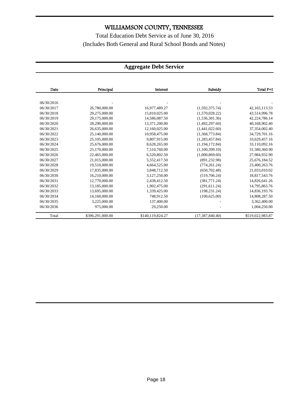Total Education Debt Service as of June 30, 2016 (Includes Both General and Rural School Bonds and Notes)

### **Aggregate Debt Service**

| Date       | Principal        | Interest         | Subsidy           | Total P+I        |
|------------|------------------|------------------|-------------------|------------------|
|            |                  |                  |                   |                  |
| 06/30/2016 |                  |                  |                   |                  |
| 06/30/2017 | 26,780,000.00    | 16,977,489.27    | (1,592,375.74)    | 42, 165, 113.53  |
| 06/30/2018 | 29,275,000.00    | 15,810,025.00    | (1,570,028.22)    | 43,514,996.78    |
| 06/30/2019 | 29,175,000.00    | 14,586,087.50    | (1,536,301.36)    | 42,224,786.14    |
| 06/30/2020 | 28,290,000.00    | 13,371,200.00    | (1,492,297.60)    | 40,168,902.40    |
| 06/30/2021 | 26,635,000.00    | 12,160,025.00    | (1,441,022.60)    | 37,354,002.40    |
| 06/30/2022 | 25,140,000.00    | 10,958,475.00    | (1,368,773.84)    | 34,729,701.16    |
| 06/30/2023 | 25,105,000.00    | 9,807,915.00     | (1,283,457.84)    | 33,629,457.16    |
| 06/30/2024 | 25,676,000.00    | 8,628,265.00     | (1, 194, 172.84)  | 33,110,092.16    |
| 06/30/2025 | 25,170,000.00    | 7,510,760.00     | (1,100,399.10)    | 31,580,360.90    |
| 06/30/2026 | 22,465,000.00    | 6,520,802.50     | (1,000,869.60)    | 27,984,932.90    |
| 06/30/2027 | 21,015,000.00    | 5,552,417.50     | (891, 232.98)     | 25,676,184.52    |
| 06/30/2028 | 19,510,000.00    | 4,664,525.00     | (774, 261.24)     | 23,400,263.76    |
| 06/30/2029 | 17,835,000.00    | 3,848,712.50     | (650, 702.48)     | 21,033,010.02    |
| 06/30/2030 | 16,210,000.00    | 3,127,250.00     | (519,706.24)      | 18,817,543.76    |
| 06/30/2031 | 12,770,000.00    | 2,438,412.50     | (381,771.24)      | 14,826,641.26    |
| 06/30/2032 | 13,185,000.00    | 1,902,475.00     | (291, 611.24)     | 14,795,863.76    |
| 06/30/2033 | 13,695,000.00    | 1,339,425.00     | (198, 231.24)     | 14,836,193.76    |
| 06/30/2034 | 14,160,000.00    | 748,912.50       | (100, 625.00)     | 14,808,287.50    |
| 06/30/2035 | 3,225,000.00     | 137,400.00       |                   | 3,362,400.00     |
| 06/30/2036 | 975,000.00       | 29,250.00        |                   | 1,004,250.00     |
| Total      | \$396,291,000.00 | \$140,119,824.27 | (17, 387, 840.40) | \$519,022,983.87 |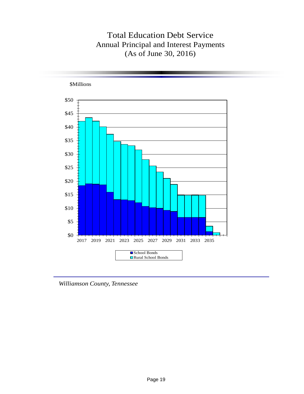# Total Education Debt Service Annual Principal and Interest Payments (As of June 30, 2016)



*Williamson County, Tennessee*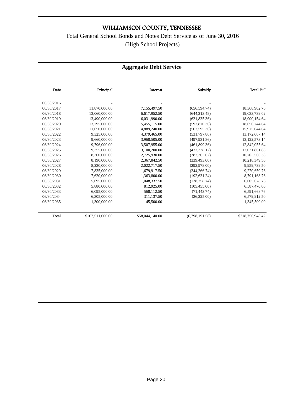## Total General School Bonds and Notes Debt Service as of June 30, 2016 (High School Projects)

### **Aggregate Debt Service**

| Date       | Principal        | Interest        | Subsidy        | Total P+I        |
|------------|------------------|-----------------|----------------|------------------|
|            |                  |                 |                |                  |
| 06/30/2016 |                  |                 |                |                  |
| 06/30/2017 | 11,870,000.00    | 7,155,497.50    | (656, 594.74)  | 18,368,902.76    |
| 06/30/2018 | 13,060,000.00    | 6,617,952.50    | (644, 213.48)  | 19,033,739.02    |
| 06/30/2019 | 13,490,000.00    | 6,031,990.00    | (621, 835.36)  | 18,900,154.64    |
| 06/30/2020 | 13.795.000.00    | 5,455,115.00    | (593, 870.36)  | 18,656,244.64    |
| 06/30/2021 | 11,650,000.00    | 4,889,240.00    | (563, 595.36)  | 15,975,644.64    |
| 06/30/2022 | 9,325,000.00     | 4,379,465.00    | (531,797.86)   | 13,172,667.14    |
| 06/30/2023 | 9,660,000.00     | 3,960,505.00    | (497, 931.86)  | 13, 122, 573. 14 |
| 06/30/2024 | 9,796,000.00     | 3,507,955.00    | (461, 899.36)  | 12,842,055.64    |
| 06/30/2025 | 9,355,000.00     | 3,100,200.00    | (423, 338.12)  | 12,031,861.88    |
| 06/30/2026 | 8.360,000.00     | 2,725,930.00    | (382, 363.62)  | 10,703,566.38    |
| 06/30/2027 | 8,190,000.00     | 2,367,842.50    | (339, 493.00)  | 10,218,349.50    |
| 06/30/2028 | 8,230,000.00     | 2,022,717.50    | (292, 978.00)  | 9,959,739.50     |
| 06/30/2029 | 7,835,000.00     | 1,679,917.50    | (244, 266.74)  | 9,270,650.76     |
| 06/30/2030 | 7.620,000.00     | 1.363.800.00    | (192.631.24)   | 8,791,168.76     |
| 06/30/2031 | 5,695,000.00     | 1,048,337.50    | (138, 258.74)  | 6,605,078.76     |
| 06/30/2032 | 5,880,000.00     | 812,925.00      | (105, 455.00)  | 6,587,470.00     |
| 06/30/2033 | 6.095.000.00     | 568,112.50      | (71, 443.74)   | 6,591,668.76     |
| 06/30/2034 | 6,305,000.00     | 311,137.50      | (36, 225.00)   | 6,579,912.50     |
| 06/30/2035 | 1,300,000.00     | 45,500.00       |                | 1,345,500.00     |
| Total      | \$167,511,000.00 | \$58,044,140.00 | (6,798,191.58) | \$218,756,948.42 |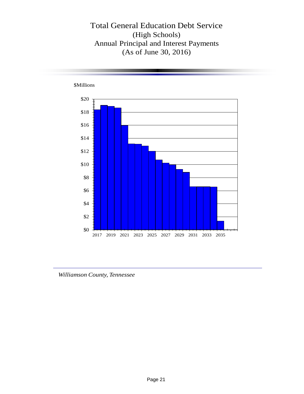Total General Education Debt Service (High Schools) Annual Principal and Interest Payments (As of June 30, 2016)



*Williamson County, Tennessee*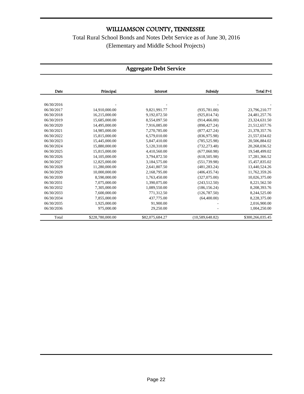Total Rural School Bonds and Notes Debt Service as of June 30, 2016 (Elementary and Middle School Projects)

#### **Aggregate Debt Service**

| Date       | Principal        | Interest        | Subsidy         | Total P+I        |
|------------|------------------|-----------------|-----------------|------------------|
|            |                  |                 |                 |                  |
| 06/30/2016 |                  |                 |                 |                  |
| 06/30/2017 | 14,910,000.00    | 9,821,991.77    | (935,781.00)    | 23,796,210.77    |
| 06/30/2018 | 16,215,000.00    | 9,192,072.50    | (925, 814.74)   | 24,481,257.76    |
| 06/30/2019 | 15,685,000.00    | 8,554,097.50    | (914, 466.00)   | 23,324,631.50    |
| 06/30/2020 | 14,495,000.00    | 7,916,085.00    | (898, 427.24)   | 21,512,657.76    |
| 06/30/2021 | 14,985,000.00    | 7,270,785.00    | (877, 427, 24)  | 21,378,357.76    |
| 06/30/2022 | 15,815,000.00    | 6,579,010.00    | (836,975.98)    | 21,557,034.02    |
| 06/30/2023 | 15,445,000.00    | 5,847,410.00    | (785, 525.98)   | 20,506,884.02    |
| 06/30/2024 | 15,880,000.00    | 5,120,310.00    | (732, 273.48)   | 20,268,036.52    |
| 06/30/2025 | 15,815,000.00    | 4.410.560.00    | (677.060.98)    | 19,548,499.02    |
| 06/30/2026 | 14,105,000.00    | 3,794,872.50    | (618, 505.98)   | 17,281,366.52    |
| 06/30/2027 | 12,825,000.00    | 3,184,575.00    | (551, 739.98)   | 15,457,835.02    |
| 06/30/2028 | 11,280,000.00    | 2,641,807.50    | (481, 283, 24)  | 13,440,524.26    |
| 06/30/2029 | 10,000,000.00    | 2,168,795.00    | (406, 435, 74)  | 11,762,359.26    |
| 06/30/2030 | 8,590,000.00     | 1,763,450.00    | (327,075.00)    | 10,026,375.00    |
| 06/30/2031 | 7,075,000.00     | 1,390,075.00    | (243, 512.50)   | 8,221,562.50     |
| 06/30/2032 | 7,305,000.00     | 1,089,550.00    | (186, 156.24)   | 8,208,393.76     |
| 06/30/2033 | 7,600,000.00     | 771,312.50      | (126, 787.50)   | 8,244,525.00     |
| 06/30/2034 | 7,855,000.00     | 437,775.00      | (64,400.00)     | 8,228,375.00     |
| 06/30/2035 | 1,925,000.00     | 91,900.00       |                 | 2,016,900.00     |
| 06/30/2036 | 975,000.00       | 29,250.00       |                 | 1,004,250.00     |
| Total      | \$228,780,000.00 | \$82,075,684.27 | (10,589,648.82) | \$300,266,035.45 |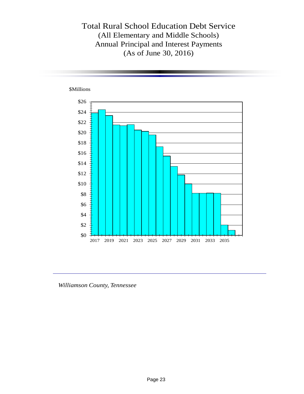Total Rural School Education Debt Service (All Elementary and Middle Schools) Annual Principal and Interest Payments (As of June 30, 2016)



*Williamson County, Tennessee*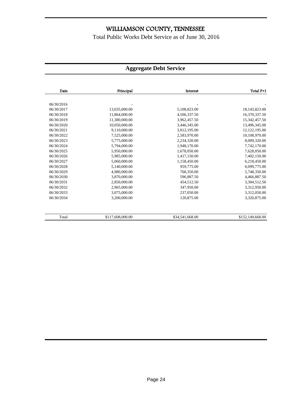Total Public Works Debt Service as of June 30, 2016

### **Aggregate Debt Service**

| Total P+I        | Interest        | Principal        | Date       |
|------------------|-----------------|------------------|------------|
|                  |                 |                  |            |
|                  |                 |                  | 06/30/2016 |
| 18,143,823.00    | 5,108,823.00    | 13,035,000.00    | 06/30/2017 |
| 16,370,337.50    | 4,506,337.50    | 11,864,000.00    | 06/30/2018 |
| 15,342,457.50    | 3,962,457.50    | 11,380,000.00    | 06/30/2019 |
| 13,496,345.00    | 3,446,345.00    | 10,050,000.00    | 06/30/2020 |
| 12, 122, 195.00  | 3,012,195.00    | 9,110,000.00     | 06/30/2021 |
| 10,108,970.00    | 2,583,970.00    | 7,525,000.00     | 06/30/2022 |
| 8,009,320.00     | 2,234,320.00    | 5,775,000.00     | 06/30/2023 |
| 7,742,170.00     | 1,948,170.00    | 5,794,000.00     | 06/30/2024 |
| 7,628,050.00     | 1,678,050.00    | 5,950,000.00     | 06/30/2025 |
| 7,402,150.00     | 1,417,150.00    | 5,985,000.00     | 06/30/2026 |
| 6,218,450.00     | 1,158,450.00    | 5,060,000.00     | 06/30/2027 |
| 6,099,775.00     | 959,775.00      | 5,140,000.00     | 06/30/2028 |
| 5,748,350.00     | 768,350.00      | 4,980,000.00     | 06/30/2029 |
| 4,466,887.50     | 596,887.50      | 3,870,000.00     | 06/30/2030 |
| 3,304,512.50     | 454,512.50      | 2,850,000.00     | 06/30/2031 |
| 3,312,950.00     | 347,950.00      | 2,965,000.00     | 06/30/2032 |
| 3,312,050.00     | 237,050.00      | 3,075,000.00     | 06/30/2033 |
| 3,320,875.00     | 120,875.00      | 3,200,000.00     | 06/30/2034 |
|                  |                 |                  |            |
| \$152,149,668.00 | \$34,541,668.00 | \$117,608,000.00 | Total      |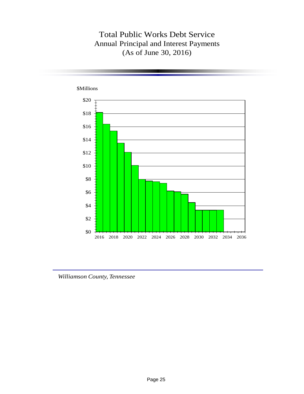## Total Public Works Debt Service Annual Principal and Interest Payments (As of June 30, 2016)



*Williamson County, Tennessee*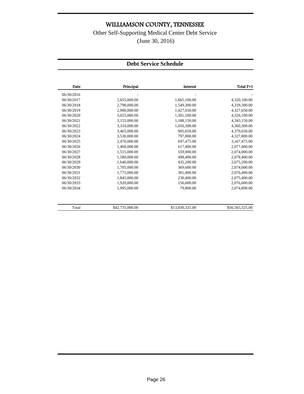Other Self-Supporting Medical Center Debt Service (June 30, 2016)

#### **Debt Service Schedule**

| Date       | Principal       | <b>Interest</b> | Total P+I       |
|------------|-----------------|-----------------|-----------------|
| 06/30/2016 |                 |                 |                 |
| 06/30/2017 | 2,655,000.00    | 1,665,100.00    | 4,320,100.00    |
| 06/30/2018 | 2,790,000.00    | 1,549,300.00    | 4,339,300.00    |
| 06/30/2019 | 2,900,000.00    | 1,427,650.00    | 4,327,650.00    |
| 06/30/2020 | 3,025,000.00    | 1,301,100.00    | 4,326,100.00    |
| 06/30/2021 | 3,155,000.00    | 1,188,150.00    | 4,343,150.00    |
| 06/30/2022 | 3,310,000.00    | 1,050,300.00    | 4,360,300.00    |
| 06/30/2023 | 3,465,000.00    | 905,650.00      | 4,370,650.00    |
| 06/30/2024 | 3,530,000.00    | 797,800.00      | 4,327,800.00    |
| 06/30/2025 | 2,470,000.00    | 697,475.00      | 3,167,475.00    |
| 06/30/2026 | 1,460,000.00    | 617,400.00      | 2,077,400.00    |
| 06/30/2027 | 1,515,000.00    | 559,000.00      | 2,074,000.00    |
| 06/30/2028 | 1,580,000.00    | 498,400.00      | 2,078,400.00    |
| 06/30/2029 | 1,640,000.00    | 435,200.00      | 2,075,200.00    |
| 06/30/2030 | 1,705,000.00    | 369,600.00      | 2,074,600.00    |
| 06/30/2031 | 1,775,000.00    | 301,400.00      | 2,076,400.00    |
| 06/30/2032 | 1,845,000.00    | 230,400.00      | 2,075,400.00    |
| 06/30/2033 | 1,920,000.00    | 156,600.00      | 2,076,600.00    |
| 06/30/2034 | 1,995,000.00    | 79,800.00       | 2,074,800.00    |
| Total      | \$42,735,000.00 | \$13,830,325.00 | \$56,565,325.00 |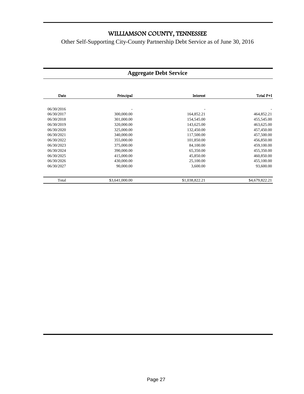Other Self-Supporting City-County Partnership Debt Service as of June 30, 2016

#### **Aggregate Debt Service**

| Total P+I      | Interest       | Principal      | Date       |
|----------------|----------------|----------------|------------|
|                |                |                |            |
|                |                |                | 06/30/2016 |
| 464,852.21     | 164,852.21     | 300,000.00     | 06/30/2017 |
| 455,545.00     | 154,545.00     | 301,000.00     | 06/30/2018 |
| 463,625.00     | 143,625.00     | 320,000.00     | 06/30/2019 |
| 457,450.00     | 132,450.00     | 325,000.00     | 06/30/2020 |
| 457,500.00     | 117,500.00     | 340,000.00     | 06/30/2021 |
| 456,850.00     | 101,850.00     | 355,000.00     | 06/30/2022 |
| 459,100.00     | 84,100.00      | 375,000.00     | 06/30/2023 |
| 455,350.00     | 65,350.00      | 390,000.00     | 06/30/2024 |
| 460,850.00     | 45,850.00      | 415,000.00     | 06/30/2025 |
| 455,100.00     | 25,100.00      | 430,000.00     | 06/30/2026 |
| 93,600.00      | 3,600.00       | 90,000.00      | 06/30/2027 |
| \$4,679,822.21 | \$1,038,822.21 | \$3,641,000.00 | Total      |